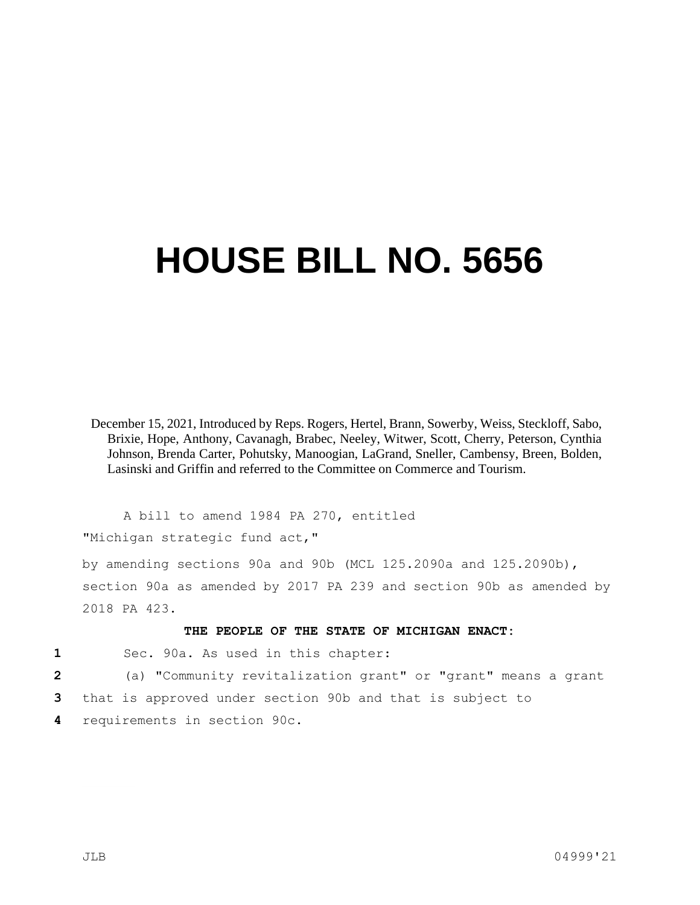## **HOUSE BILL NO. 5656**

December 15, 2021, Introduced by Reps. Rogers, Hertel, Brann, Sowerby, Weiss, Steckloff, Sabo, Brixie, Hope, Anthony, Cavanagh, Brabec, Neeley, Witwer, Scott, Cherry, Peterson, Cynthia Johnson, Brenda Carter, Pohutsky, Manoogian, LaGrand, Sneller, Cambensy, Breen, Bolden, Lasinski and Griffin and referred to the Committee on Commerce and Tourism.

A bill to amend 1984 PA 270, entitled "Michigan strategic fund act,"

by amending sections 90a and 90b (MCL 125.2090a and 125.2090b), section 90a as amended by 2017 PA 239 and section 90b as amended by 2018 PA 423.

## **THE PEOPLE OF THE STATE OF MICHIGAN ENACT:**

**1** Sec. 90a. As used in this chapter:

**2** (a) "Community revitalization grant" or "grant" means a grant

- **3** that is approved under section 90b and that is subject to
- **4** requirements in section 90c.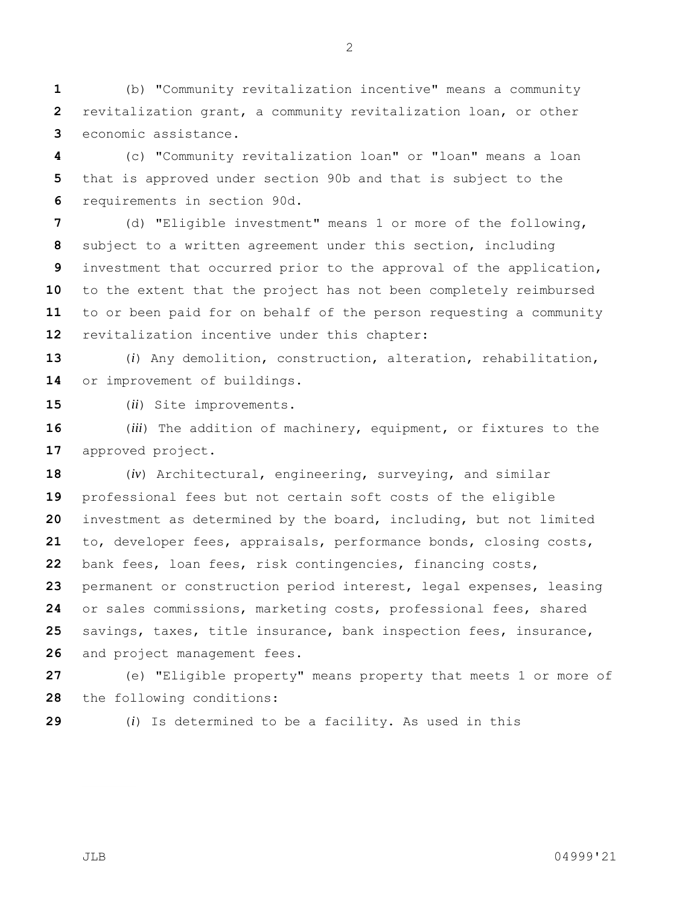(b) "Community revitalization incentive" means a community revitalization grant, a community revitalization loan, or other economic assistance.

 (c) "Community revitalization loan" or "loan" means a loan that is approved under section 90b and that is subject to the requirements in section 90d.

 (d) "Eligible investment" means 1 or more of the following, subject to a written agreement under this section, including investment that occurred prior to the approval of the application, to the extent that the project has not been completely reimbursed to or been paid for on behalf of the person requesting a community revitalization incentive under this chapter:

 (*i*) Any demolition, construction, alteration, rehabilitation, or improvement of buildings.

(*ii*) Site improvements.

 (*iii*) The addition of machinery, equipment, or fixtures to the approved project.

 (*iv*) Architectural, engineering, surveying, and similar professional fees but not certain soft costs of the eligible investment as determined by the board, including, but not limited to, developer fees, appraisals, performance bonds, closing costs, bank fees, loan fees, risk contingencies, financing costs, permanent or construction period interest, legal expenses, leasing or sales commissions, marketing costs, professional fees, shared savings, taxes, title insurance, bank inspection fees, insurance, and project management fees.

 (e) "Eligible property" means property that meets 1 or more of the following conditions:

(*i*) Is determined to be a facility. As used in this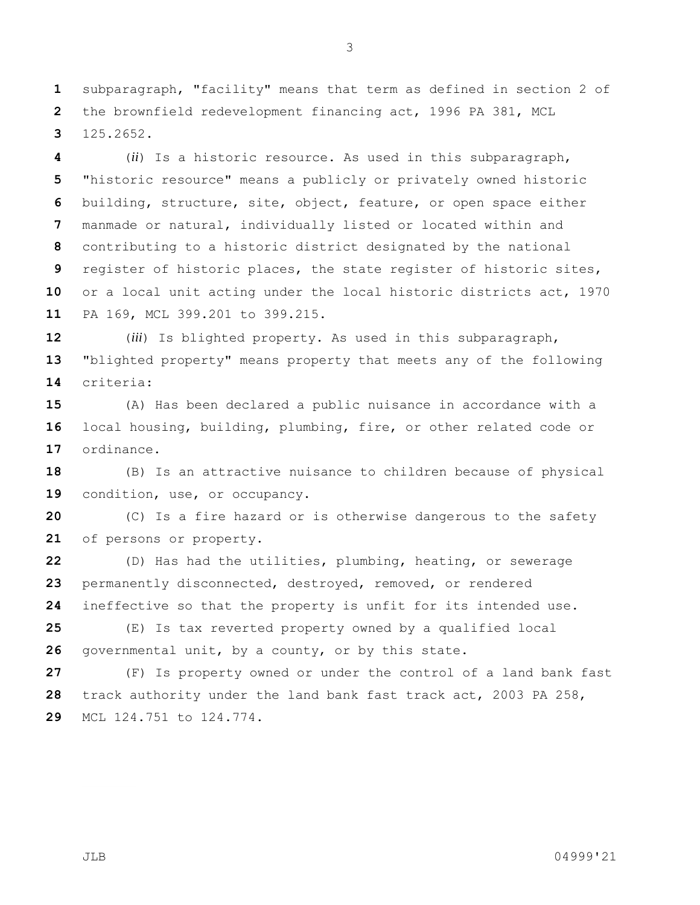subparagraph, "facility" means that term as defined in section 2 of the brownfield redevelopment financing act, 1996 PA 381, MCL 125.2652.

 (*ii*) Is a historic resource. As used in this subparagraph, "historic resource" means a publicly or privately owned historic building, structure, site, object, feature, or open space either manmade or natural, individually listed or located within and contributing to a historic district designated by the national register of historic places, the state register of historic sites, or a local unit acting under the local historic districts act, 1970 PA 169, MCL 399.201 to 399.215.

 (*iii*) Is blighted property. As used in this subparagraph, "blighted property" means property that meets any of the following criteria:

 (A) Has been declared a public nuisance in accordance with a local housing, building, plumbing, fire, or other related code or ordinance.

 (B) Is an attractive nuisance to children because of physical condition, use, or occupancy.

 (C) Is a fire hazard or is otherwise dangerous to the safety of persons or property.

 (D) Has had the utilities, plumbing, heating, or sewerage 23 permanently disconnected, destroyed, removed, or rendered ineffective so that the property is unfit for its intended use.

 (E) Is tax reverted property owned by a qualified local governmental unit, by a county, or by this state.

 (F) Is property owned or under the control of a land bank fast track authority under the land bank fast track act, 2003 PA 258, MCL 124.751 to 124.774.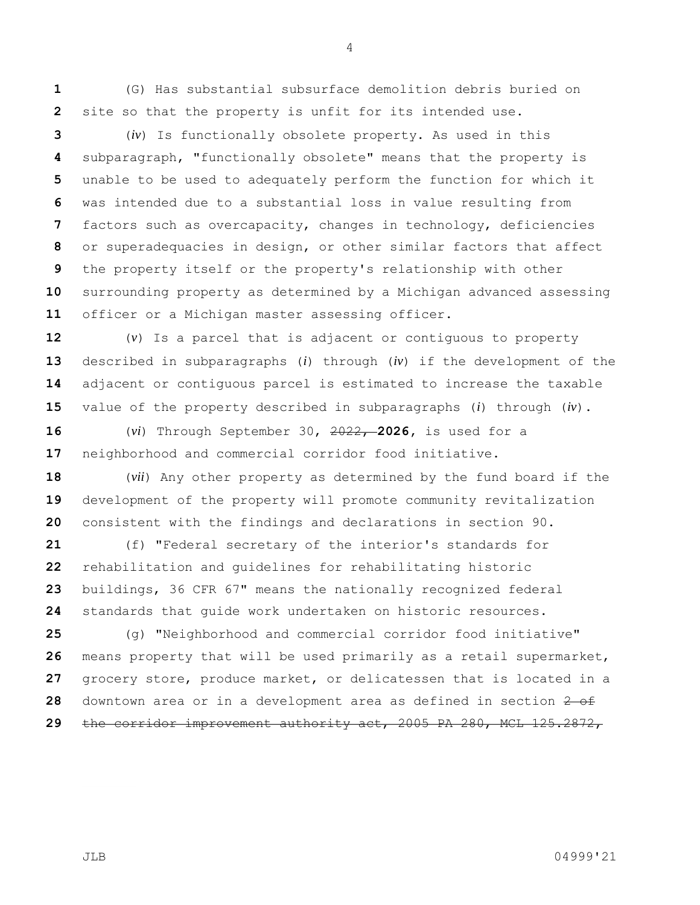(G) Has substantial subsurface demolition debris buried on site so that the property is unfit for its intended use.

 (*iv*) Is functionally obsolete property. As used in this subparagraph, "functionally obsolete" means that the property is unable to be used to adequately perform the function for which it was intended due to a substantial loss in value resulting from factors such as overcapacity, changes in technology, deficiencies or superadequacies in design, or other similar factors that affect the property itself or the property's relationship with other surrounding property as determined by a Michigan advanced assessing officer or a Michigan master assessing officer.

 (*v*) Is a parcel that is adjacent or contiguous to property described in subparagraphs (*i*) through (*iv*) if the development of the adjacent or contiguous parcel is estimated to increase the taxable value of the property described in subparagraphs (*i*) through (*iv*).

 (*vi*) Through September 30, 2022, **2026,** is used for a neighborhood and commercial corridor food initiative.

 (*vii*) Any other property as determined by the fund board if the development of the property will promote community revitalization consistent with the findings and declarations in section 90.

 (f) "Federal secretary of the interior's standards for rehabilitation and guidelines for rehabilitating historic buildings, 36 CFR 67" means the nationally recognized federal standards that guide work undertaken on historic resources.

 (g) "Neighborhood and commercial corridor food initiative" means property that will be used primarily as a retail supermarket, grocery store, produce market, or delicatessen that is located in a downtown area or in a development area as defined in section  $\frac{2}{5}$ the corridor improvement authority act, 2005 PA 280, MCL 125.2872,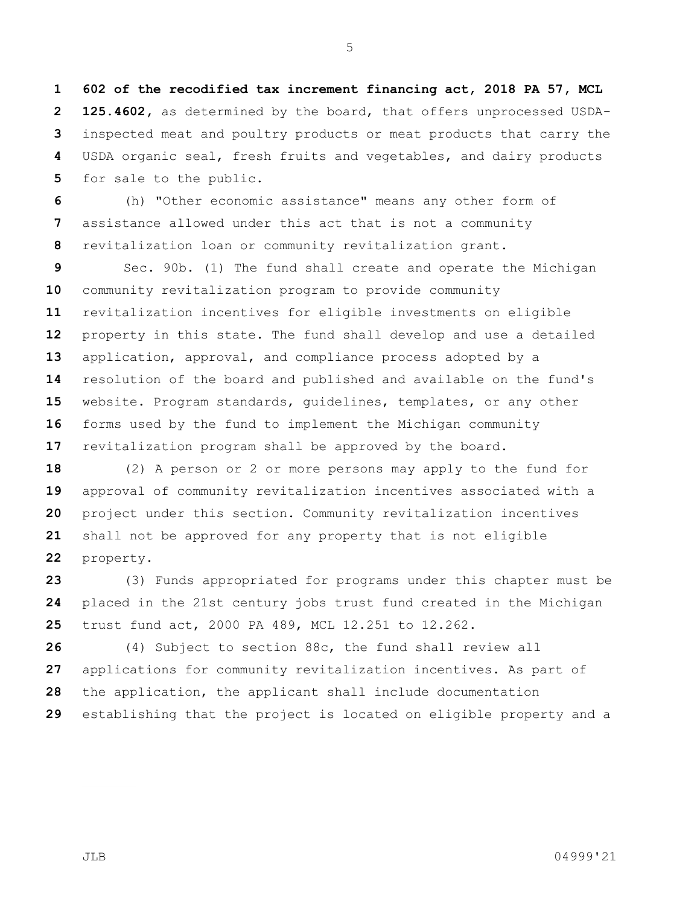**602 of the recodified tax increment financing act, 2018 PA 57, MCL 125.4602,** as determined by the board, that offers unprocessed USDA- inspected meat and poultry products or meat products that carry the USDA organic seal, fresh fruits and vegetables, and dairy products for sale to the public.

 (h) "Other economic assistance" means any other form of assistance allowed under this act that is not a community revitalization loan or community revitalization grant.

 Sec. 90b. (1) The fund shall create and operate the Michigan community revitalization program to provide community revitalization incentives for eligible investments on eligible property in this state. The fund shall develop and use a detailed application, approval, and compliance process adopted by a resolution of the board and published and available on the fund's website. Program standards, guidelines, templates, or any other forms used by the fund to implement the Michigan community revitalization program shall be approved by the board.

 (2) A person or 2 or more persons may apply to the fund for approval of community revitalization incentives associated with a project under this section. Community revitalization incentives shall not be approved for any property that is not eligible property.

 (3) Funds appropriated for programs under this chapter must be placed in the 21st century jobs trust fund created in the Michigan trust fund act, 2000 PA 489, MCL 12.251 to 12.262.

 (4) Subject to section 88c, the fund shall review all applications for community revitalization incentives. As part of the application, the applicant shall include documentation establishing that the project is located on eligible property and a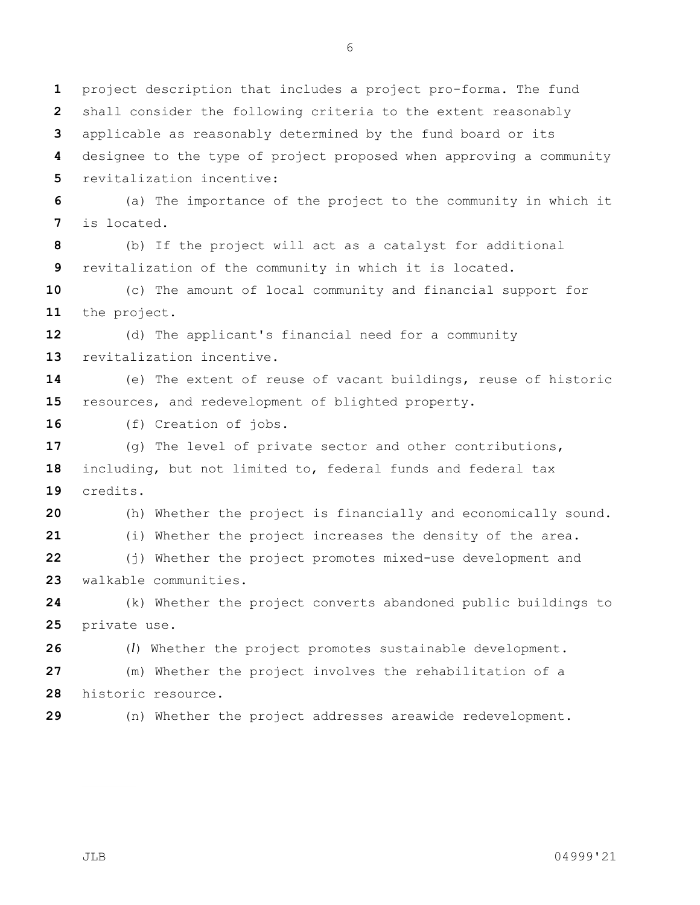shall consider the following criteria to the extent reasonably applicable as reasonably determined by the fund board or its designee to the type of project proposed when approving a community revitalization incentive: (a) The importance of the project to the community in which it is located. (b) If the project will act as a catalyst for additional revitalization of the community in which it is located. (c) The amount of local community and financial support for the project. (d) The applicant's financial need for a community revitalization incentive. (e) The extent of reuse of vacant buildings, reuse of historic resources, and redevelopment of blighted property. (f) Creation of jobs. (g) The level of private sector and other contributions, including, but not limited to, federal funds and federal tax credits. (h) Whether the project is financially and economically sound. (i) Whether the project increases the density of the area. (j) Whether the project promotes mixed-use development and walkable communities. (k) Whether the project converts abandoned public buildings to private use.

 (*l*) Whether the project promotes sustainable development. (m) Whether the project involves the rehabilitation of a historic resource.

(n) Whether the project addresses areawide redevelopment.

project description that includes a project pro-forma. The fund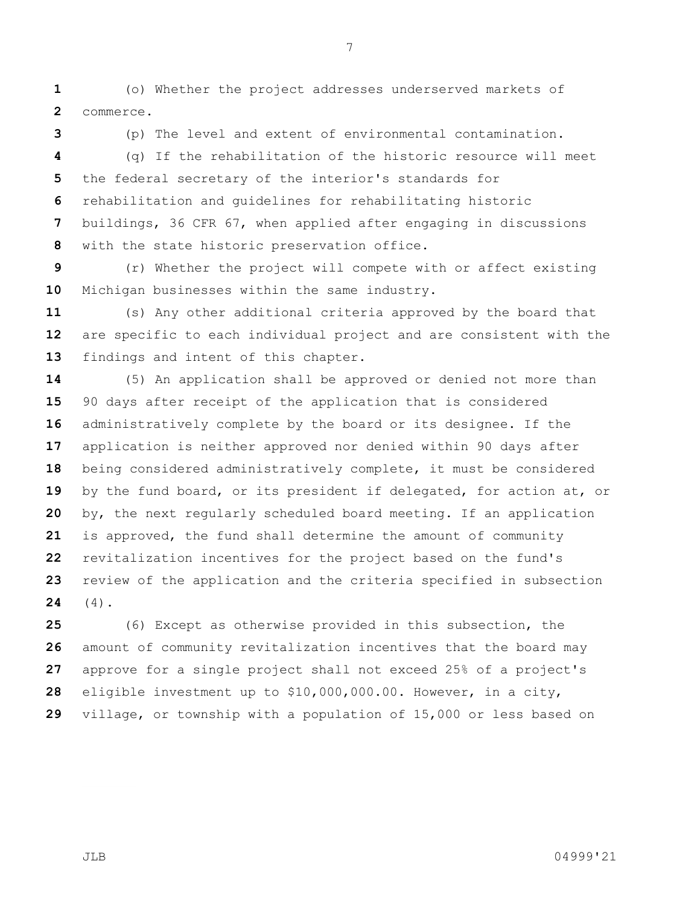(o) Whether the project addresses underserved markets of commerce.

(p) The level and extent of environmental contamination.

 (q) If the rehabilitation of the historic resource will meet the federal secretary of the interior's standards for rehabilitation and guidelines for rehabilitating historic buildings, 36 CFR 67, when applied after engaging in discussions with the state historic preservation office.

 (r) Whether the project will compete with or affect existing Michigan businesses within the same industry.

 (s) Any other additional criteria approved by the board that are specific to each individual project and are consistent with the findings and intent of this chapter.

 (5) An application shall be approved or denied not more than 90 days after receipt of the application that is considered administratively complete by the board or its designee. If the application is neither approved nor denied within 90 days after being considered administratively complete, it must be considered by the fund board, or its president if delegated, for action at, or by, the next regularly scheduled board meeting. If an application is approved, the fund shall determine the amount of community revitalization incentives for the project based on the fund's review of the application and the criteria specified in subsection (4).

 (6) Except as otherwise provided in this subsection, the amount of community revitalization incentives that the board may approve for a single project shall not exceed 25% of a project's eligible investment up to \$10,000,000.00. However, in a city, village, or township with a population of 15,000 or less based on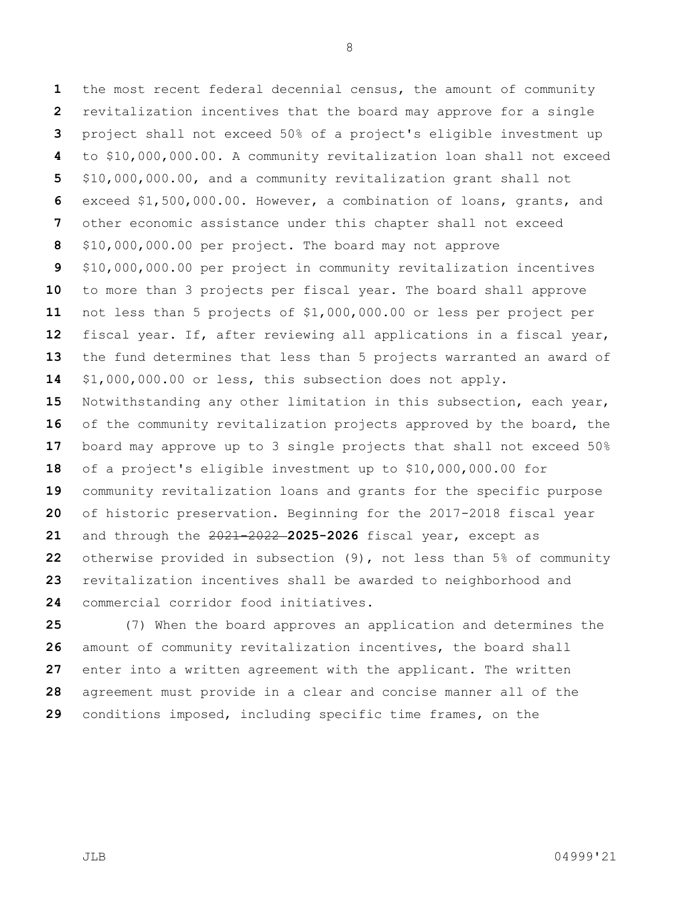the most recent federal decennial census, the amount of community revitalization incentives that the board may approve for a single project shall not exceed 50% of a project's eligible investment up to \$10,000,000.00. A community revitalization loan shall not exceed \$10,000,000.00, and a community revitalization grant shall not exceed \$1,500,000.00. However, a combination of loans, grants, and other economic assistance under this chapter shall not exceed \$10,000,000.00 per project. The board may not approve \$10,000,000.00 per project in community revitalization incentives to more than 3 projects per fiscal year. The board shall approve not less than 5 projects of \$1,000,000.00 or less per project per fiscal year. If, after reviewing all applications in a fiscal year, the fund determines that less than 5 projects warranted an award of \$1,000,000.00 or less, this subsection does not apply. Notwithstanding any other limitation in this subsection, each year, of the community revitalization projects approved by the board, the board may approve up to 3 single projects that shall not exceed 50% of a project's eligible investment up to \$10,000,000.00 for community revitalization loans and grants for the specific purpose of historic preservation. Beginning for the 2017-2018 fiscal year and through the 2021-2022 **2025-2026** fiscal year, except as otherwise provided in subsection (9), not less than 5% of community revitalization incentives shall be awarded to neighborhood and commercial corridor food initiatives.

 (7) When the board approves an application and determines the amount of community revitalization incentives, the board shall enter into a written agreement with the applicant. The written agreement must provide in a clear and concise manner all of the conditions imposed, including specific time frames, on the

JLB 04999'21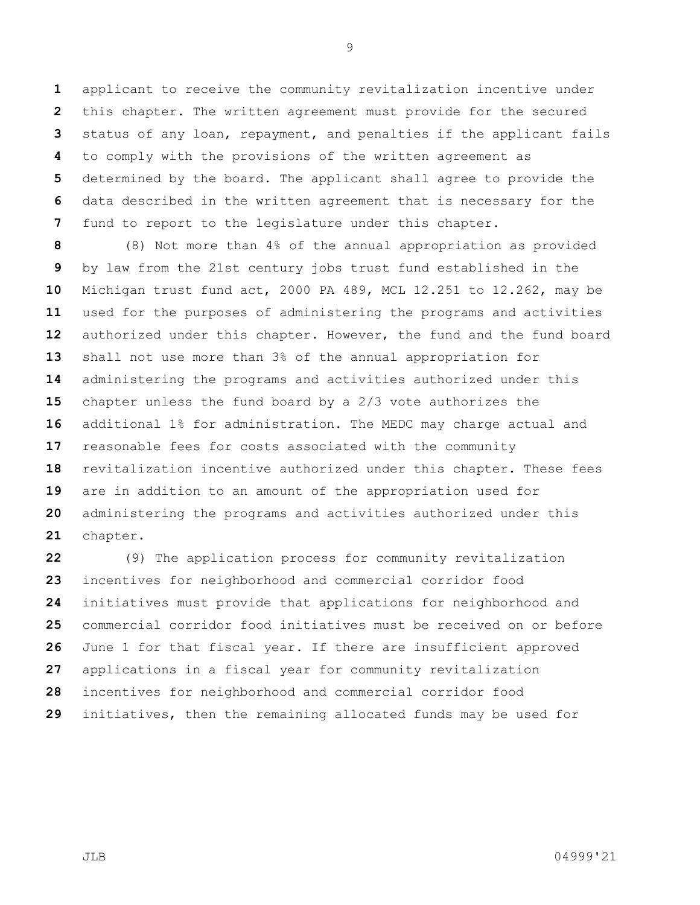applicant to receive the community revitalization incentive under this chapter. The written agreement must provide for the secured status of any loan, repayment, and penalties if the applicant fails to comply with the provisions of the written agreement as determined by the board. The applicant shall agree to provide the data described in the written agreement that is necessary for the fund to report to the legislature under this chapter.

 (8) Not more than 4% of the annual appropriation as provided by law from the 21st century jobs trust fund established in the Michigan trust fund act, 2000 PA 489, MCL 12.251 to 12.262, may be used for the purposes of administering the programs and activities authorized under this chapter. However, the fund and the fund board shall not use more than 3% of the annual appropriation for administering the programs and activities authorized under this chapter unless the fund board by a 2/3 vote authorizes the additional 1% for administration. The MEDC may charge actual and reasonable fees for costs associated with the community revitalization incentive authorized under this chapter. These fees are in addition to an amount of the appropriation used for administering the programs and activities authorized under this chapter.

 (9) The application process for community revitalization incentives for neighborhood and commercial corridor food initiatives must provide that applications for neighborhood and commercial corridor food initiatives must be received on or before June 1 for that fiscal year. If there are insufficient approved applications in a fiscal year for community revitalization incentives for neighborhood and commercial corridor food initiatives, then the remaining allocated funds may be used for